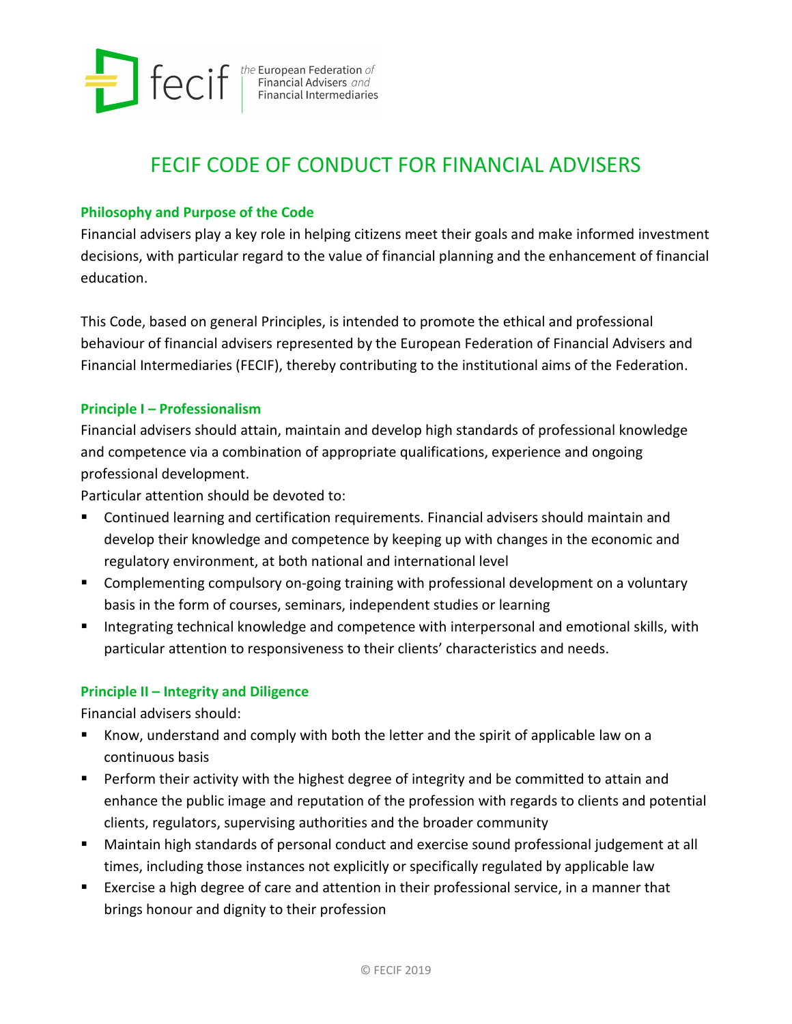

 $\text{feCif} \leftarrow \text{F} \leftarrow \text{Financial Advisers} \underbrace{\text{and}}_{\text{Financial Intermediaries}}$ 

# FECIF CODE OF CONDUCT FOR FINANCIAL ADVISERS

# **Philosophy and Purpose of the Code**

Financial advisers play a key role in helping citizens meet their goals and make informed investment decisions, with particular regard to the value of financial planning and the enhancement of financial education.

This Code, based on general Principles, is intended to promote the ethical and professional behaviour of financial advisers represented by the European Federation of Financial Advisers and Financial Intermediaries (FECIF), thereby contributing to the institutional aims of the Federation.

## **Principle I – Professionalism**

Financial advisers should attain, maintain and develop high standards of professional knowledge and competence via a combination of appropriate qualifications, experience and ongoing professional development.

Particular attention should be devoted to:

- Continued learning and certification requirements. Financial advisers should maintain and develop their knowledge and competence by keeping up with changes in the economic and regulatory environment, at both national and international level
- **EXP** Complementing compulsory on-going training with professional development on a voluntary basis in the form of courses, seminars, independent studies or learning
- Integrating technical knowledge and competence with interpersonal and emotional skills, with particular attention to responsiveness to their clients' characteristics and needs.

## **Principle II – Integrity and Diligence**

Financial advisers should:

- Know, understand and comply with both the letter and the spirit of applicable law on a continuous basis
- **Perform their activity with the highest degree of integrity and be committed to attain and** enhance the public image and reputation of the profession with regards to clients and potential clients, regulators, supervising authorities and the broader community
- Maintain high standards of personal conduct and exercise sound professional judgement at all times, including those instances not explicitly or specifically regulated by applicable law
- Exercise a high degree of care and attention in their professional service, in a manner that brings honour and dignity to their profession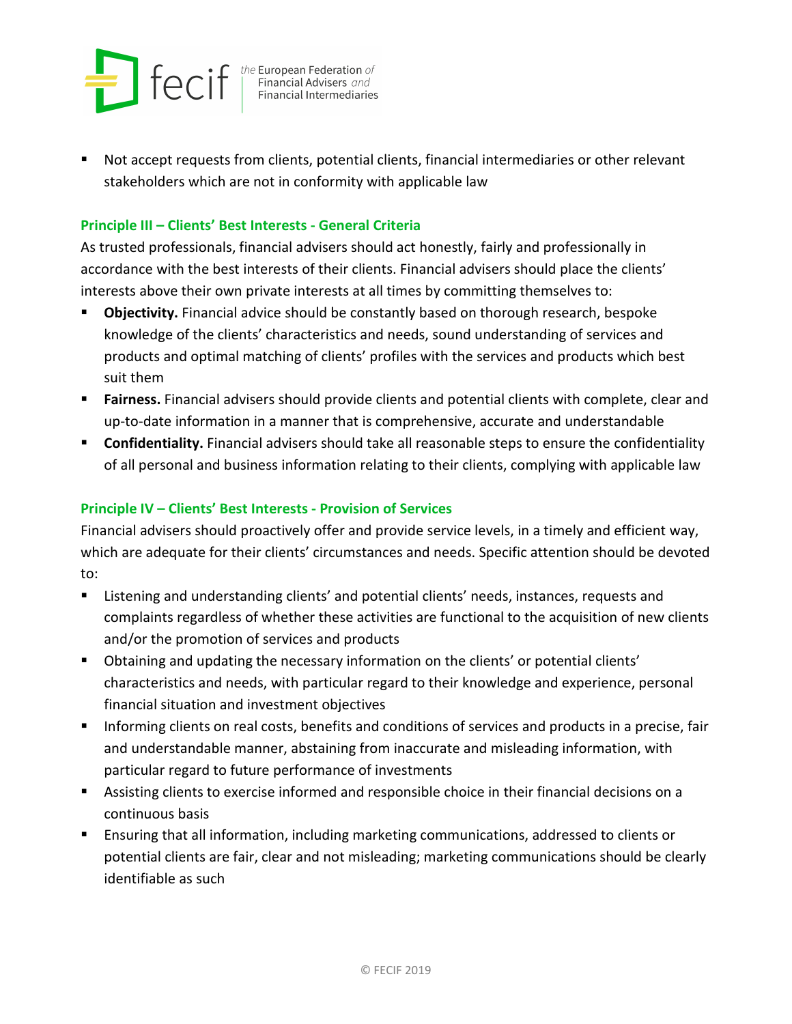

 $\text{feCif} \left[ \text{Ric} \right] \left[ \text{Ric} \right] \text{The European Federation of Financial Advances and Financial Intermediaries.}$ 

 Not accept requests from clients, potential clients, financial intermediaries or other relevant stakeholders which are not in conformity with applicable law

## **Principle III – Clients' Best Interests - General Criteria**

As trusted professionals, financial advisers should act honestly, fairly and professionally in accordance with the best interests of their clients. Financial advisers should place the clients' interests above their own private interests at all times by committing themselves to:

- **Dbjectivity.** Financial advice should be constantly based on thorough research, bespoke knowledge of the clients' characteristics and needs, sound understanding of services and products and optimal matching of clients' profiles with the services and products which best suit them
- **Fairness.** Financial advisers should provide clients and potential clients with complete, clear and up-to-date information in a manner that is comprehensive, accurate and understandable
- **Confidentiality.** Financial advisers should take all reasonable steps to ensure the confidentiality of all personal and business information relating to their clients, complying with applicable law

## **Principle IV – Clients' Best Interests - Provision of Services**

Financial advisers should proactively offer and provide service levels, in a timely and efficient way, which are adequate for their clients' circumstances and needs. Specific attention should be devoted to:

- Listening and understanding clients' and potential clients' needs, instances, requests and complaints regardless of whether these activities are functional to the acquisition of new clients and/or the promotion of services and products
- Obtaining and updating the necessary information on the clients' or potential clients' characteristics and needs, with particular regard to their knowledge and experience, personal financial situation and investment objectives
- **Informing clients on real costs, benefits and conditions of services and products in a precise, fair** and understandable manner, abstaining from inaccurate and misleading information, with particular regard to future performance of investments
- Assisting clients to exercise informed and responsible choice in their financial decisions on a continuous basis
- Ensuring that all information, including marketing communications, addressed to clients or potential clients are fair, clear and not misleading; marketing communications should be clearly identifiable as such